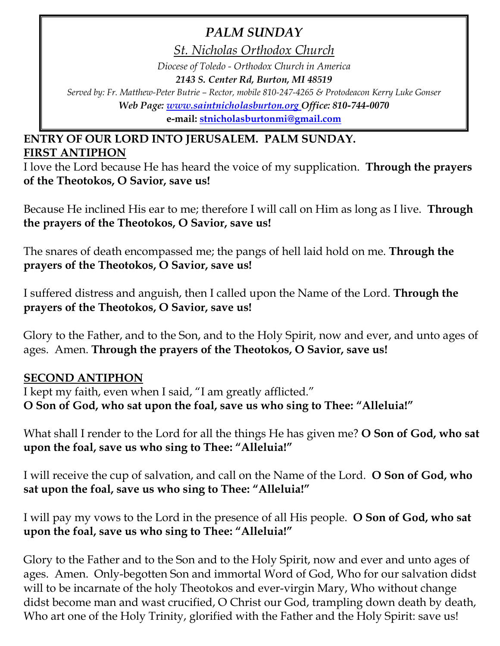# *PALM SUNDAY*

*St. Nicholas Orthodox Church Diocese of Toledo - Orthodox Church in America 2143 S. Center Rd, Burton, MI 48519 Served by: Fr. Matthew-Peter Butrie – Rector, mobile 810-247-4265 & Protodeacon Kerry Luke Gonser Web Page: [www.saintnicholasburton.org](http://www.saintnicholasburton.org/) Office: 810-744-0070*

**e-mail: [stnicholasburtonmi@gmail.com](mailto:stnicholasburtonmi@gmail.com)**

## **ENTRY OF OUR LORD INTO JERUSALEM. PALM SUNDAY. FIRST ANTIPHON**

I love the Lord because He has heard the voice of my supplication. **Through the prayers of the Theotokos, O Savior, save us!**

Because He inclined His ear to me; therefore I will call on Him as long as I live. **Through the prayers of the Theotokos, O Savior, save us!**

The snares of death encompassed me; the pangs of hell laid hold on me. **Through the prayers of the Theotokos, O Savior, save us!**

I suffered distress and anguish, then I called upon the Name of the Lord. **Through the prayers of the Theotokos, O Savior, save us!**

Glory to the Father, and to the Son, and to the Holy Spirit, now and ever, and unto ages of ages. Amen. **Through the prayers of the Theotokos, O Savior, save us!**

## **SECOND ANTIPHON**

I kept my faith, even when I said, "I am greatly afflicted." **O Son of God, who sat upon the foal, save us who sing to Thee: "Alleluia!"**

What shall I render to the Lord for all the things He has given me? **O Son of God, who sat upon the foal, save us who sing to Thee: "Alleluia!"**

I will receive the cup of salvation, and call on the Name of the Lord.**O Son of God, who sat upon the foal, save us who sing to Thee: "Alleluia!"**

I will pay my vows to the Lord in the presence of all His people.**O Son of God, who sat upon the foal, save us who sing to Thee: "Alleluia!"**

Glory to the Father and to the Son and to the Holy Spirit, now and ever and unto ages of ages. Amen. Only-begotten Son and immortal Word of God, Who for our salvation didst will to be incarnate of the holy Theotokos and ever-virgin Mary, Who without change didst become man and wast crucified, O Christ our God, trampling down death by death, Who art one of the Holy Trinity, glorified with the Father and the Holy Spirit: save us!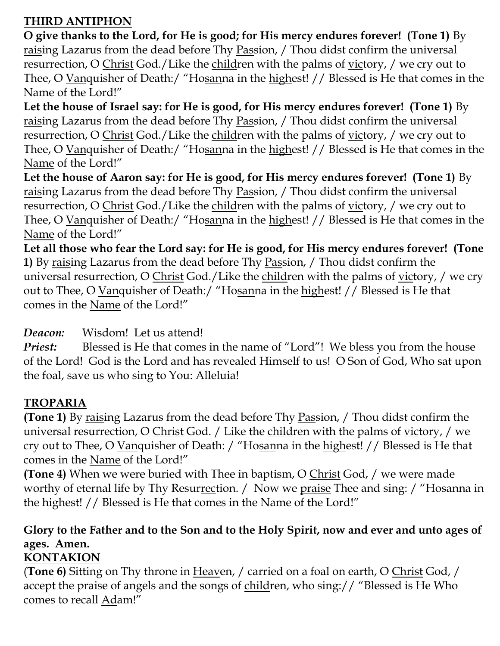# **THIRD ANTIPHON**

**O give thanks to the Lord, for He is good; for His mercy endures forever! (Tone 1)** By raising Lazarus from the dead before Thy Passion, / Thou didst confirm the universal resurrection, O Christ God./Like the children with the palms of victory, / we cry out to Thee, O Vanquisher of Death:/ "Hosanna in the highest! // Blessed is He that comes in the Name of the Lord!"

Let the house of Israel say: for He is good, for His mercy endures forever! (Tone 1) By raising Lazarus from the dead before Thy Passion, / Thou didst confirm the universal resurrection, O Christ God./Like the children with the palms of victory, / we cry out to Thee, O Vanquisher of Death:/ "Hosanna in the highest! // Blessed is He that comes in the Name of the Lord!"

Let the house of Aaron say: for He is good, for His mercy endures forever! (Tone 1) By raising Lazarus from the dead before Thy Passion, / Thou didst confirm the universal resurrection, O Christ God./Like the children with the palms of victory, / we cry out to Thee, O Vanquisher of Death:/ "Hosanna in the highest! // Blessed is He that comes in the Name of the Lord!"

**Let all those who fear the Lord say: for He is good, for His mercy endures forever! (Tone 1)** By raising Lazarus from the dead before Thy Passion, / Thou didst confirm the universal resurrection, O Christ God./Like the children with the palms of victory, / we cry out to Thee, O Vanquisher of Death:/ "Hosanna in the highest! // Blessed is He that comes in the Name of the Lord!"

## *Deacon:* Wisdom! Let us attend!

*Priest:* Blessed is He that comes in the name of "Lord"! We bless you from the house of the Lord! God is the Lord and has revealed Himself to us! O Son of God, Who sat upon the foal, save us who sing to You: Alleluia!

# **TROPARIA**

**(Tone 1)** By raising Lazarus from the dead before Thy Passion, / Thou didst confirm the universal resurrection, O Christ God. / Like the children with the palms of victory, / we cry out to Thee, O Vanquisher of Death: / "Hosanna in the highest! // Blessed is He that comes in the Name of the Lord!"

**(Tone 4)** When we were buried with Thee in baptism, O Christ God, / we were made worthy of eternal life by Thy Resurrection. / Now we praise Thee and sing: / "Hosanna in the highest! // Blessed is He that comes in the Name of the Lord!"

# **Glory to the Father and to the Son and to the Holy Spirit, now and ever and unto ages of ages. Amen.**

## **KONTAKION**

(**Tone 6)** Sitting on Thy throne in Heaven, / carried on a foal on earth, O Christ God, / accept the praise of angels and the songs of children, who sing:// "Blessed is He Who comes to recall Adam!"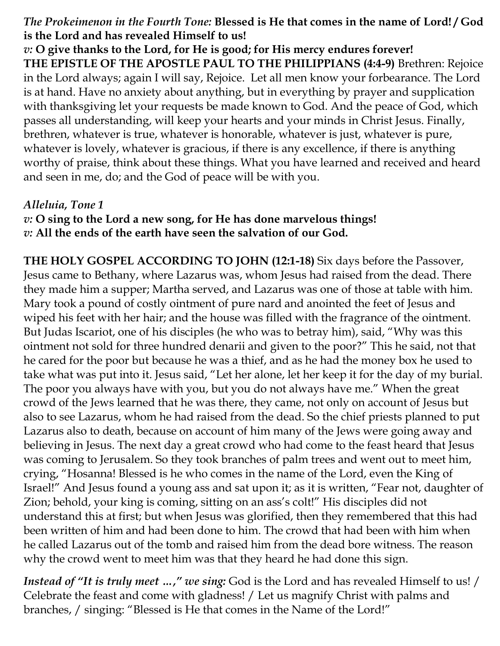## *The Prokeimenon in the Fourth Tone:* **Blessed is He that comes in the name of Lord! / God is the Lord and has revealed Himself to us!**

*v:* **O give thanks to the Lord, for He is good; for His mercy endures forever! THE EPISTLE OF THE APOSTLE PAUL TO THE PHILIPPIANS (4:4-9)** Brethren: Rejoice in the Lord always; again I will say, Rejoice. Let all men know your forbearance. The Lord is at hand. Have no anxiety about anything, but in everything by prayer and supplication with thanksgiving let your requests be made known to God. And the peace of God, which passes all understanding, will keep your hearts and your minds in Christ Jesus. Finally, brethren, whatever is true, whatever is honorable, whatever is just, whatever is pure, whatever is lovely, whatever is gracious, if there is any excellence, if there is anything worthy of praise, think about these things. What you have learned and received and heard and seen in me, do; and the God of peace will be with you.

## *Alleluia, Tone 1*

*v:* **O sing to the Lord a new song, for He has done marvelous things!** *v:* **All the ends of the earth have seen the salvation of our God.**

**THE HOLY GOSPEL ACCORDING TO JOHN (12:1-18)** Six days before the Passover, Jesus came to Bethany, where Lazarus was, whom Jesus had raised from the dead. There they made him a supper; Martha served, and Lazarus was one of those at table with him. Mary took a pound of costly ointment of pure nard and anointed the feet of Jesus and wiped his feet with her hair; and the house was filled with the fragrance of the ointment. But Judas Iscariot, one of his disciples (he who was to betray him), said, "Why was this ointment not sold for three hundred denarii and given to the poor?" This he said, not that he cared for the poor but because he was a thief, and as he had the money box he used to take what was put into it. Jesus said, "Let her alone, let her keep it for the day of my burial. The poor you always have with you, but you do not always have me." When the great crowd of the Jews learned that he was there, they came, not only on account of Jesus but also to see Lazarus, whom he had raised from the dead. So the chief priests planned to put Lazarus also to death, because on account of him many of the Jews were going away and believing in Jesus. The next day a great crowd who had come to the feast heard that Jesus was coming to Jerusalem. So they took branches of palm trees and went out to meet him, crying, "Hosanna! Blessed is he who comes in the name of the Lord, even the King of Israel!" And Jesus found a young ass and sat upon it; as it is written, "Fear not, daughter of Zion; behold, your king is coming, sitting on an ass's colt!" His disciples did not understand this at first; but when Jesus was glorified, then they remembered that this had been written of him and had been done to him. The crowd that had been with him when he called Lazarus out of the tomb and raised him from the dead bore witness. The reason why the crowd went to meet him was that they heard he had done this sign.

*Instead of "It is truly meet …," we sing:* God is the Lord and has revealed Himself to us! / Celebrate the feast and come with gladness! / Let us magnify Christ with palms and branches, / singing: "Blessed is He that comes in the Name of the Lord!"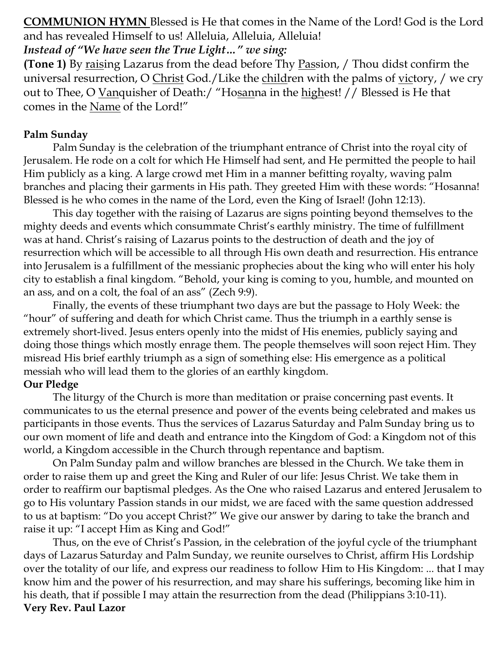**COMMUNION HYMN** Blessed is He that comes in the Name of the Lord! God is the Lord and has revealed Himself to us! Alleluia, Alleluia, Alleluia!

*Instead of "We have seen the True Light…" we sing:*

**(Tone 1)** By raising Lazarus from the dead before Thy Passion, / Thou didst confirm the universal resurrection, O Christ God./Like the children with the palms of victory, / we cry out to Thee, O Vanquisher of Death:/ "Hosanna in the highest! // Blessed is He that comes in the Name of the Lord!"

### **Palm Sunday**

Palm Sunday is the celebration of the triumphant entrance of Christ into the royal city of Jerusalem. He rode on a colt for which He Himself had sent, and He permitted the people to hail Him publicly as a king. A large crowd met Him in a manner befitting royalty, waving palm branches and placing their garments in His path. They greeted Him with these words: "Hosanna! Blessed is he who comes in the name of the Lord, even the King of Israel! (John 12:13).

This day together with the raising of Lazarus are signs pointing beyond themselves to the mighty deeds and events which consummate Christ's earthly ministry. The time of fulfillment was at hand. Christ's raising of Lazarus points to the destruction of death and the joy of resurrection which will be accessible to all through His own death and resurrection. His entrance into Jerusalem is a fulfillment of the messianic prophecies about the king who will enter his holy city to establish a final kingdom. "Behold, your king is coming to you, humble, and mounted on an ass, and on a colt, the foal of an ass" (Zech 9:9).

Finally, the events of these triumphant two days are but the passage to Holy Week: the "hour" of suffering and death for which Christ came. Thus the triumph in a earthly sense is extremely short-lived. Jesus enters openly into the midst of His enemies, publicly saying and doing those things which mostly enrage them. The people themselves will soon reject Him. They misread His brief earthly triumph as a sign of something else: His emergence as a political messiah who will lead them to the glories of an earthly kingdom. **Our Pledge**

The liturgy of the Church is more than meditation or praise concerning past events. It communicates to us the eternal presence and power of the events being celebrated and makes us participants in those events. Thus the services of Lazarus Saturday and Palm Sunday bring us to our own moment of life and death and entrance into the Kingdom of God: a Kingdom not of this world, a Kingdom accessible in the Church through repentance and baptism.

On Palm Sunday palm and willow branches are blessed in the Church. We take them in order to raise them up and greet the King and Ruler of our life: Jesus Christ. We take them in order to reaffirm our baptismal pledges. As the One who raised Lazarus and entered Jerusalem to go to His voluntary Passion stands in our midst, we are faced with the same question addressed to us at baptism: "Do you accept Christ?" We give our answer by daring to take the branch and raise it up: "I accept Him as King and God!"

Thus, on the eve of Christ's Passion, in the celebration of the joyful cycle of the triumphant days of Lazarus Saturday and Palm Sunday, we reunite ourselves to Christ, affirm His Lordship over the totality of our life, and express our readiness to follow Him to His Kingdom: ... that I may know him and the power of his resurrection, and may share his sufferings, becoming like him in his death, that if possible I may attain the resurrection from the dead (Philippians 3:10-11). **Very Rev. Paul Lazor**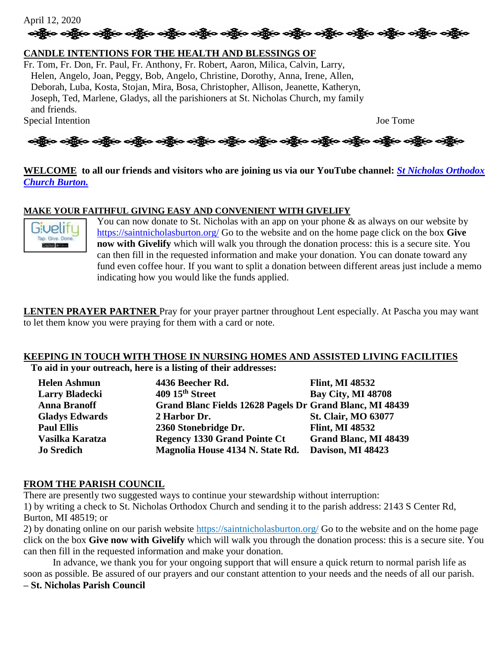April 12, 2020 န္း တန္ဆိုးက သန္တြာေတြရွိေတြကို ေတြမွ်ာေတြမွ်ာေတြမွ်ာေတြမွ်ာေတြမွ်ာ တန္တိုက တန္တြာေတြမွ်ာ တန္တိုက

### **CANDLE INTENTIONS FOR THE HEALTH AND BLESSINGS OF**

Fr. Tom, Fr. Don, Fr. Paul, Fr. Anthony, Fr. Robert, Aaron, Milica, Calvin, Larry, Helen, Angelo, Joan, Peggy, Bob, Angelo, Christine, Dorothy, Anna, Irene, Allen, Deborah, Luba, Kosta, Stojan, Mira, Bosa, Christopher, Allison, Jeanette, Katheryn, Joseph, Ted, Marlene, Gladys, all the parishioners at St. Nicholas Church, my family and friends.

Special Intention Joe Tome



#### **WELCOME to all our friends and visitors who are joining us via our YouTube channel:** *[St Nicholas Orthodox](https://www.youtube.com/channel/UC59tV-Re443z-GCoETAUvfA)  [Church Burton.](https://www.youtube.com/channel/UC59tV-Re443z-GCoETAUvfA)*

#### **MAKE YOUR FAITHFUL GIVING EASY AND CONVENIENT WITH GIVELIFY**



You can now donate to St. Nicholas with an app on your phone & as always on our website by <https://saintnicholasburton.org/> Go to the website and on the home page click on the box **Give now with Givelify** which will walk you through the donation process: this is a secure site. You can then fill in the requested information and make your donation. You can donate toward any fund even coffee hour. If you want to split a donation between different areas just include a memo indicating how you would like the funds applied.

**LENTEN PRAYER PARTNER** Pray for your prayer partner throughout Lent especially. At Pascha you may want to let them know you were praying for them with a card or note.

#### **KEEPING IN TOUCH WITH THOSE IN NURSING HOMES AND ASSISTED LIVING FACILITIES To aid in your outreach, here is a listing of their addresses:**

| <b>Helen Ashmun</b>   | 4436 Beecher Rd.                                         | <b>Flint, MI 48532</b>       |
|-----------------------|----------------------------------------------------------|------------------------------|
| <b>Larry Bladecki</b> | 409 15th Street                                          | <b>Bay City, MI 48708</b>    |
| <b>Anna Branoff</b>   | Grand Blanc Fields 12628 Pagels Dr Grand Blanc, MI 48439 |                              |
| <b>Gladys Edwards</b> | 2 Harbor Dr.                                             | <b>St. Clair, MO 63077</b>   |
| <b>Paul Ellis</b>     | 2360 Stonebridge Dr.                                     | <b>Flint, MI 48532</b>       |
| Vasilka Karatza       | <b>Regency 1330 Grand Pointe Ct</b>                      | <b>Grand Blanc, MI 48439</b> |
| <b>Jo Sredich</b>     | Magnolia House 4134 N. State Rd.                         | Davison, MI 48423            |

#### **FROM THE PARISH COUNCIL**

There are presently two suggested ways to continue your stewardship without interruption: 1) by writing a check to St. Nicholas Orthodox Church and sending it to the parish address: 2143 S Center Rd, Burton, MI 48519; or

2) by donating online on our parish website <https://saintnicholasburton.org/> Go to the website and on the home page click on the box **Give now with Givelify** which will walk you through the donation process: this is a secure site. You can then fill in the requested information and make your donation.

In advance, we thank you for your ongoing support that will ensure a quick return to normal parish life as soon as possible. Be assured of our prayers and our constant attention to your needs and the needs of all our parish. **– St. Nicholas Parish Council**